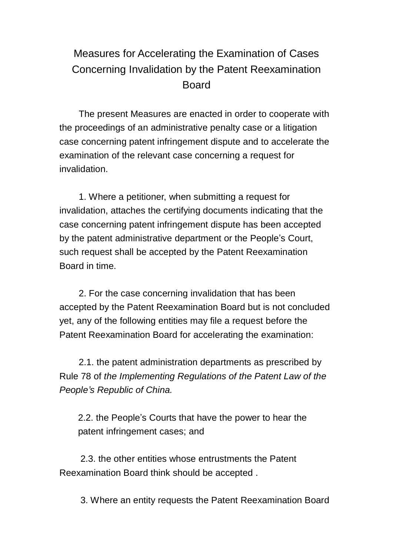## Measures for Accelerating the Examination of Cases Concerning Invalidation by the Patent Reexamination Board

The present Measures are enacted in order to cooperate with the proceedings of an administrative penalty case or a litigation case concerning patent infringement dispute and to accelerate the examination of the relevant case concerning a request for invalidation.

1. Where a petitioner, when submitting a request for invalidation, attaches the certifying documents indicating that the case concerning patent infringement dispute has been accepted by the patent administrative department or the People's Court, such request shall be accepted by the Patent Reexamination Board in time.

2. For the case concerning invalidation that has been accepted by the Patent Reexamination Board but is not concluded yet, any of the following entities may file a request before the Patent Reexamination Board for accelerating the examination:

2.1. the patent administration departments as prescribed by Rule 78 of *the Implementing Regulations of the Patent Law of the People's Republic of China.*

2.2. the People's Courts that have the power to hear the patent infringement cases; and

2.3. the other entities whose entrustments the Patent Reexamination Board think should be accepted .

3. Where an entity requests the Patent Reexamination Board